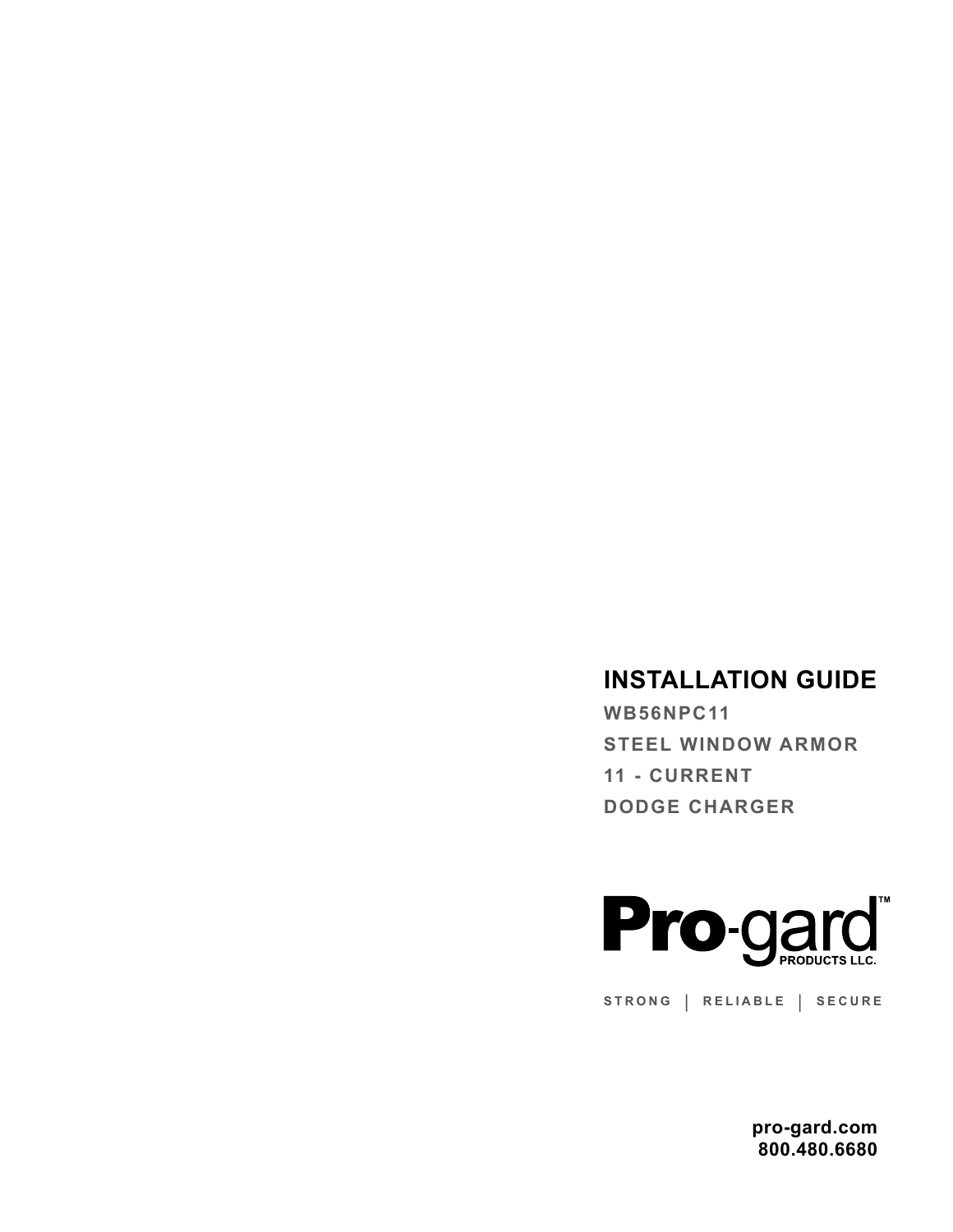## **INSTALLATION GUIDE**

**WB56NPC11 STEEL WINDOW ARMOR 11 - CURRENT DODGE CHARGER** 



**STRONG | RELIABLE | SECURE**

**pro-gard.com 800.480.6680**